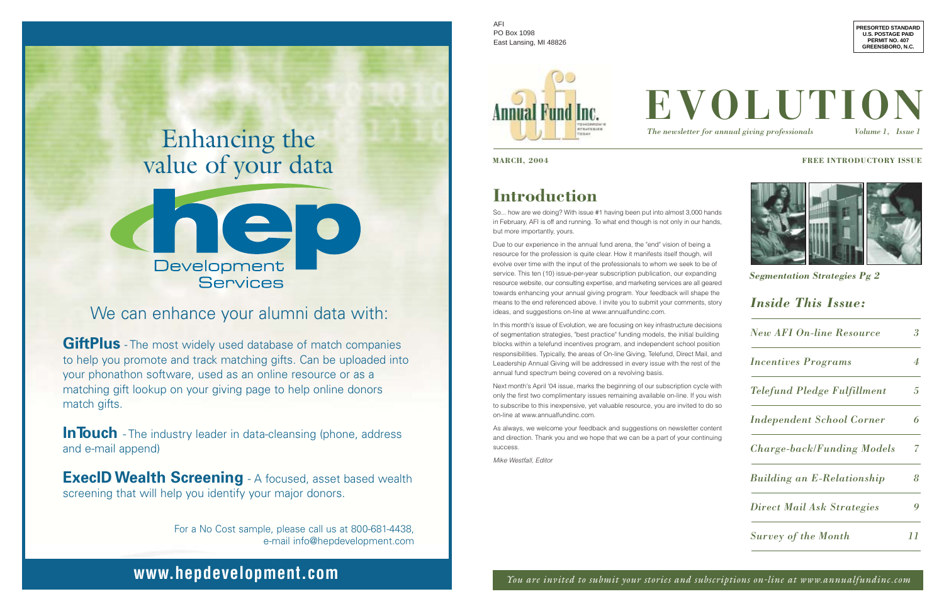# Enhancing the value of your data



## We can enhance your alumni data with:

**GiftPlus** - The most widely used database of match companies to help you promote and track matching gifts. Can be uploaded into your phonathon software, used as an online resource or as a matching gift lookup on your giving page to help online donors match gifts.

**InTouch** - The industry leader in data-cleansing (phone, address and e-mail append)

**ExecID Wealth Screening** - A focused, asset based wealth screening that will help you identify your major donors.

> For a No Cost sample, please call us at 800-681-4438, e-mail info@hepdevelopment.com

## **www.hepdevelopment.com**

## **Introduction**

So... how are we doing? With issue #1 having been put into almost 3,000 hands in February, AFI is off and running. To what end though is not only in our hands, but more importantly, yours.

Due to our experience in the annual fund arena, the "end" vision of being a resource for the profession is quite clear. How it manifests itself though, will evolve over time with the input of the professionals to whom we seek to be of service. This ten (10) issue-per-year subscription publication, our expanding resource website, our consulting expertise, and marketing services are all geared towards enhancing your annual giving program. Your feedback will shape the means to the end referenced above. I invite you to submit your comments, story ideas, and suggestions on-line at www.annualfundinc.com.

In this month's issue of Evolution, we are focusing on key infrastructure decisions of segmentation strategies, "best practice" funding models, the initial building blocks within a telefund incentives program, and independent school position responsibilities. Typically, the areas of On-line Giving, Telefund, Direct Mail, and Leadership Annual Giving will be addressed in every issue with the rest of the annual fund spectrum being covered on a revolving basis.

Next month's April '04 issue, marks the beginning of our subscription cycle with only the first two complimentary issues remaining available on-line. If you wish to subscribe to this inexpensive, yet valuable resource, you are invited to do so on-line at www.annualfundinc.com.

As always, we welcome your feedback and suggestions on newsletter content and direction. Thank you and we hope that we can be a part of your continuing success.

Mike Westfall, Editor

## *Inside This Issue:*

| <b>New AFI On-line Resource</b>   | 3                         |
|-----------------------------------|---------------------------|
| <b>Incentives Programs</b>        | $\boldsymbol{\varLambda}$ |
| Telefund Pledge Fulfillment       | 5                         |
| <b>Independent School Corner</b>  | 6                         |
| <b>Charge-back/Funding Models</b> | 7                         |
| <b>Building an E-Relationship</b> | 8                         |
| <b>Direct Mail Ask Strategies</b> |                           |
| <b>Survey of the Month</b>        | $\prime\prime$            |

**PRESORTED STANDARD U.S. POSTAGE PAID PERMIT NO. 407 GREENSBORO, N.C.**

*The newsletter for annual giving professionals Volume 1, Issue 1*



#### **MARCH, 2004 FREE INTRODUCTORY ISSUE**



## *Segmentation Strategies Pg 2*

AFI PO Box 1098 East Lansing, MI 48826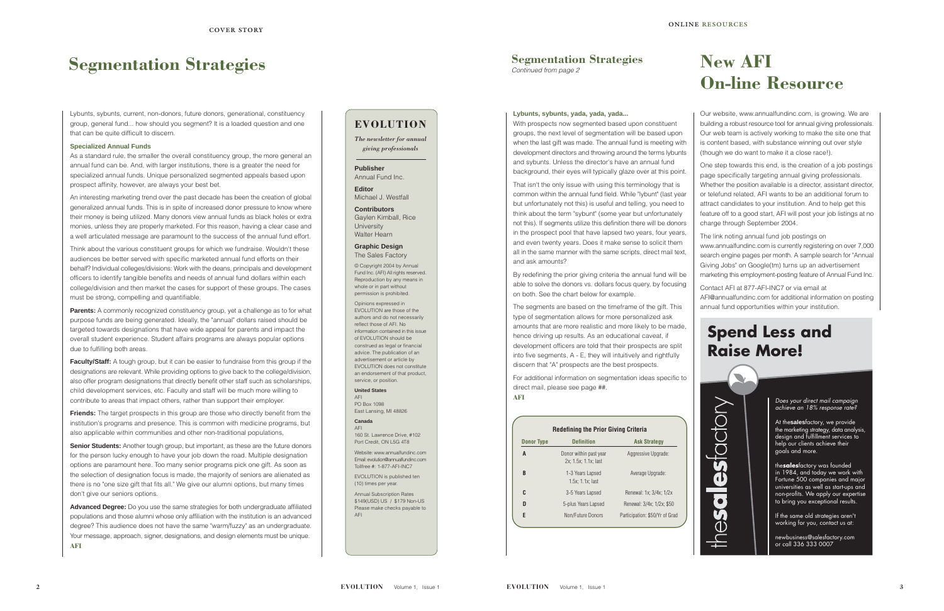Lybunts, sybunts, current, non-donors, future donors, generational, constituency group, general fund... how should you segment? It is a loaded question and one that can be quite difficult to discern.

#### **Specialized Annual Funds**

As a standard rule, the smaller the overall constituency group, the more general an annual fund can be. And, with larger institutions, there is a greater the need for specialized annual funds. Unique personalized segmented appeals based upon prospect affinity, however, are always your best bet.

An interesting marketing trend over the past decade has been the creation of global generalized annual funds. This is in spite of increased donor pressure to know where their money is being utilized. Many donors view annual funds as black holes or extra monies, unless they are properly marketed. For this reason, having a clear case and a well articulated message are paramount to the success of the annual fund effort.

**Parents:** A commonly recognized constituency group, yet a challenge as to for what purpose funds are being generated. Ideally, the "annual" dollars raised should be targeted towards designations that have wide appeal for parents and impact the overall student experience. Student affairs programs are always popular options due to fulfilling both areas.

**Faculty/Staff:** A tough group, but it can be easier to fundraise from this group if the designations are relevant. While providing options to give back to the college/division, also offer program designations that directly benefit other staff such as scholarships, child development services, etc. Faculty and staff will be much more willing to contribute to areas that impact others, rather than support their employer.

Think about the various constituent groups for which we fundraise. Wouldn't these audiences be better served with specific marketed annual fund efforts on their behalf? Individual colleges/divisions: Work with the deans, principals and development officers to identify tangible benefits and needs of annual fund dollars within each college/division and then market the cases for support of these groups. The cases must be strong, compelling and quantifiable.

**Friends:** The target prospects in this group are those who directly benefit from the institution's programs and presence. This is common with medicine programs, but also applicable within communities and other non-traditional populations,

**Senior Students:** Another tough group, but important, as these are the future donors for the person lucky enough to have your job down the road. Multiple designation options are paramount here. Too many senior programs pick one gift. As soon as the selection of designation focus is made, the majority of seniors are alienated as there is no "one size gift that fits all." We give our alumni options, but many times don't give our seniors options.

Opinions expressed in EVOLUTION are those of the authors and do not necessarily reflect those of AFI. No information contained in this issue of EVOLUTION should be construed as legal or financial advice. The publication of an advertisement or article by EVOLUTION does not constitute an endorsement of that product, service, or position.

**Advanced Degree:** Do you use the same strategies for both undergraduate affiliated populations and those alumni whose only affiliation with the institution is an advanced degree? This audience does not have the same "warm/fuzzy" as an undergraduate. Your message, approach, signer, designations, and design elements must be unique. **AFI**

## **Segmentation Strategies**

## **EVOLUTION**

*The newsletter for annual*

*giving professionals*

**Publisher** Annual Fund Inc.

**Editor** Michael J. Westfall

**Contributors**

Gaylen Kimball, Rice University Walter Hearn

**Graphic Design** The Sales Factory

© Copyright 2004 by Annual Fund Inc. (AFI) All rights reserved. Reproduction by any means in whole or in part without permission is prohibited.

#### **United States** AFI

PO Box 1098 East Lansing, MI 48826

#### **Canada** AFI

160 St. Lawrence Drive, #102 Port Credit, ON L5G 4T8

Website: www.annualfundinc.com Email: evolution@annualfundinc.com Tollfree #: 1-877-AFI-INC7

EVOLUTION is published ten (10) times per year.

Annual Subscription Rates \$149(USD) US / \$179 Non-US Please make checks payable to AFI

# **New AFI On-line Resource**

#### **Lybunts, sybunts, yada, yada, yada...**

With prospects now segmented based upon constituent groups, the next level of segmentation will be based upon when the last gift was made. The annual fund is meeting with development directors and throwing around the terms lybunts and sybunts. Unless the director's have an annual fund background, their eyes will typically glaze over at this point.

That isn't the only issue with using this terminology that is common within the annual fund field. While "lybunt" (last year but unfortunately not this) is useful and telling, you need to think about the term "sybunt" (some year but unfortunately not this). If segments utilize this definition there will be donors in the prospect pool that have lapsed two years, four years, and even twenty years. Does it make sense to solicit them all in the same manner with the same scripts, direct mail text, and ask amounts?

By redefining the prior giving criteria the annual fund will be able to solve the donors vs. dollars focus query, by focusing on both. See the chart below for example.

The segments are based on the timeframe of the gift. This type of segmentation allows for more personalized ask amounts that are more realistic and more likely to be made, hence driving up results. As an educational caveat, if development officers are told that their prospects are split into five segments, A - E, they will intuitively and rightfully discern that "A" prospects are the best prospects.

For additional information on segmentation ideas specific to direct mail, please see page ##. **AFI**

## **Spend Less and Raise More!**



Does your direct mail campaign achieve an 18% response rate?

At the**sales**factory, we provide the marketing strategy, data analysis, design and fulfillment services to help our clients achieve their goals and more.

the**sales**factory was founded in 1984, and today we work with Fortune 500 companies and major universities as well as start-ups and non-profits. We apply our expertise to bring you exceptional results.

If the same old strategies aren't working for you, contact us at:

newbusiness@salesfactory.com or call 336 333 0007

Our website, www.annualfundinc.com, is growing. We are building a robust resource tool for annual giving professionals. Our web team is actively working to make the site one that is content based, with substance winning out over style (though we do want to make it a close race!).

One step towards this end, is the creation of a job postings page specifically targeting annual giving professionals. Whether the position available is a director, assistant director, or telefund related, AFI wants to be an additional forum to attract candidates to your institution. And to help get this feature off to a good start, AFI will post your job listings at no charge through September 2004.

The link noting annual fund job postings on www.annualfundinc.com is currently registering on over 7,000 search engine pages per month. A sample search for "Annual Giving Jobs" on Google(tm) turns up an advertisement marketing this employment-posting feature of Annual Fund Inc.

Contact AFI at 877-AFI-INC7 or via email at AFI@annualfundinc.com for additional information on posting annual fund opportunities within your institution.

## **Segmentation Strategies**

Continued from page 2

| <b>Redefining the Prior Giving Criteria</b> |                                                |                                |  |
|---------------------------------------------|------------------------------------------------|--------------------------------|--|
| <b>Donor Type</b>                           | <b>Definition</b>                              | <b>Ask Strategy</b>            |  |
| A                                           | Donor within past year<br>2x; 1.5x; 1.1x; last | Aggressive Upgrade:            |  |
| B                                           | 1-3 Years Lapsed<br>$1.5x$ ; 1.1 $x$ ; last    | Average Upgrade:               |  |
| C                                           | 3-5 Years Lapsed                               | Renewal: 1x; 3/4x; 1/2x        |  |
| D                                           | 5-plus Years Lapsed                            | Renewal: 3/4x; 1/2x; \$50      |  |
| E                                           | Non/Future Donors                              | Participation: \$50/Yr of Grad |  |
|                                             |                                                |                                |  |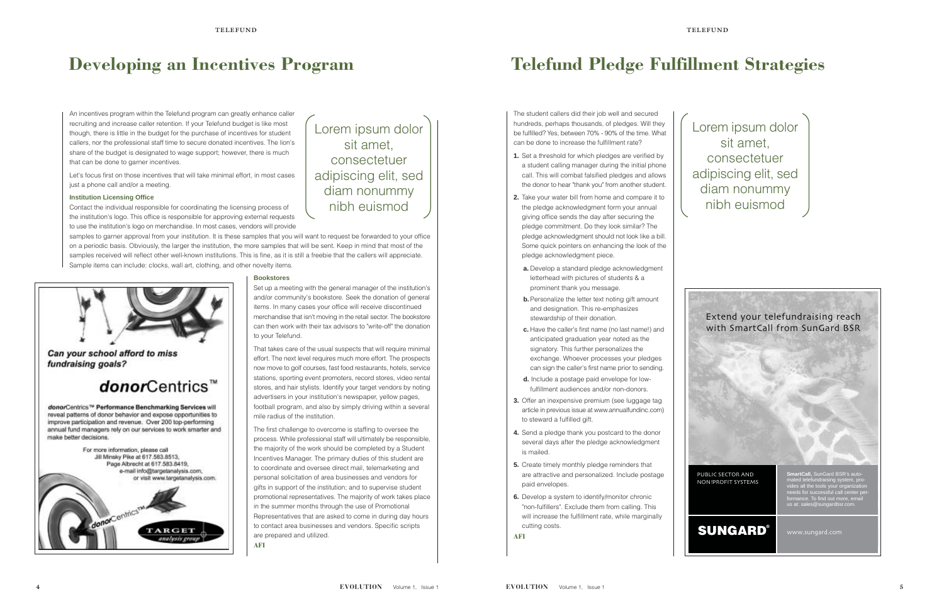An incentives program within the Telefund program can greatly enhance caller recruiting and increase caller retention. If your Telefund budget is like most though, there is little in the budget for the purchase of incentives for student callers, nor the professional staff time to secure donated incentives. The lion's share of the budget is designated to wage support; however, there is much that can be done to garner incentives.

Let's focus first on those incentives that will take minimal effort, in most cases just a phone call and/or a meeting.

#### **Institution Licensing Office**

Contact the individual responsible for coordinating the licensing process of the institution's logo. This office is responsible for approving external requests to use the institution's logo on merchandise. In most cases, vendors will provide

samples to garner approval from your institution. It is these samples that you will want to request be forwarded to your office on a periodic basis. Obviously, the larger the institution, the more samples that will be sent. Keep in mind that most of the samples received will reflect other well-known institutions. This is fine, as it is still a freebie that the callers will appreciate. Sample items can include: clocks, wall art, clothing, and other novelty items.



Can your school afford to miss fundraising goals?

## donorCentrics™

donorCentrics™ Performance Benchmarking Services will reveal patterns of donor behavior and expose opportunities to improve participation and revenue. Over 200 top-performing annual fund managers rely on our services to work smarter and make better decisions.



#### **Bookstores**

Set up a meeting with the general manager of the institution's and/or community's bookstore. Seek the donation of general items. In many cases your office will receive discontinued merchandise that isn't moving in the retail sector. The bookstore can then work with their tax advisors to "write-off" the donation to your Telefund.

That takes care of the usual suspects that will require minimal effort. The next level requires much more effort. The prospects now move to golf courses, fast food restaurants, hotels, service stations, sporting event promoters, record stores, video rental stores, and hair stylists. Identify your target vendors by noting advertisers in your institution's newspaper, yellow pages, football program, and also by simply driving within a several mile radius of the institution.

The first challenge to overcome is staffing to oversee the process. While professional staff will ultimately be responsible, the majority of the work should be completed by a Student Incentives Manager. The primary duties of this student are to coordinate and oversee direct mail, telemarketing and personal solicitation of area businesses and vendors for gifts in support of the institution; and to supervise student promotional representatives. The majority of work takes place in the summer months through the use of Promotional Representatives that are asked to come in during day hours to contact area businesses and vendors. Specific scripts are prepared and utilized.

**AFI**

## **Developing an Incentives Program**

Lorem ipsum dolor sit amet, consectetuer adipiscing elit, sed diam nonummy nibh euismod

The student callers did their job well and secured hundreds, perhaps thousands, of pledges. Will they be fulfilled? Yes, between 70% - 90% of the time. What can be done to increase the fulfillment rate?

- **1.** Set a threshold for which pledges are verified by a student calling manager during the initial phone call. This will combat falsified pledges and allows the donor to hear "thank you" from another student.
- **2.** Take your water bill from home and compare it to the pledge acknowledgment form your annual giving office sends the day after securing the pledge commitment. Do they look similar? The pledge acknowledgment should not look like a bill. Some quick pointers on enhancing the look of the pledge acknowledgment piece.
- **a.** Develop a standard pledge acknowledgment letterhead with pictures of students & a prominent thank you message.
- **b.** Personalize the letter text noting gift amount and designation. This re-emphasizes stewardship of their donation.
- **c.** Have the caller's first name (no last name!) and anticipated graduation year noted as the signatory. This further personalizes the exchange. Whoever processes your pledges can sign the caller's first name prior to sending.
- **d.** Include a postage paid envelope for lowfulfillment audiences and/or non-donors.
- **3.** Offer an inexpensive premium (see luggage tag article in previous issue at www.annualfundinc.com) to steward a fulfilled gift.
- **4.** Send a pledge thank you postcard to the donor several days after the pledge acknowledgment is mailed.
- **5.** Create timely monthly pledge reminders that are attractive and personalized. Include postage paid envelopes.
- **6.** Develop a system to identify/monitor chronic "non-fulfillers". Exclude them from calling. This will increase the fulfillment rate, while marginally cutting costs.

**AFI**

# **Telefund Pledge Fulfillment Strategies**



Lorem ipsum dolor sit amet, consectetuer adipiscing elit, sed diam nonummy nibh euismod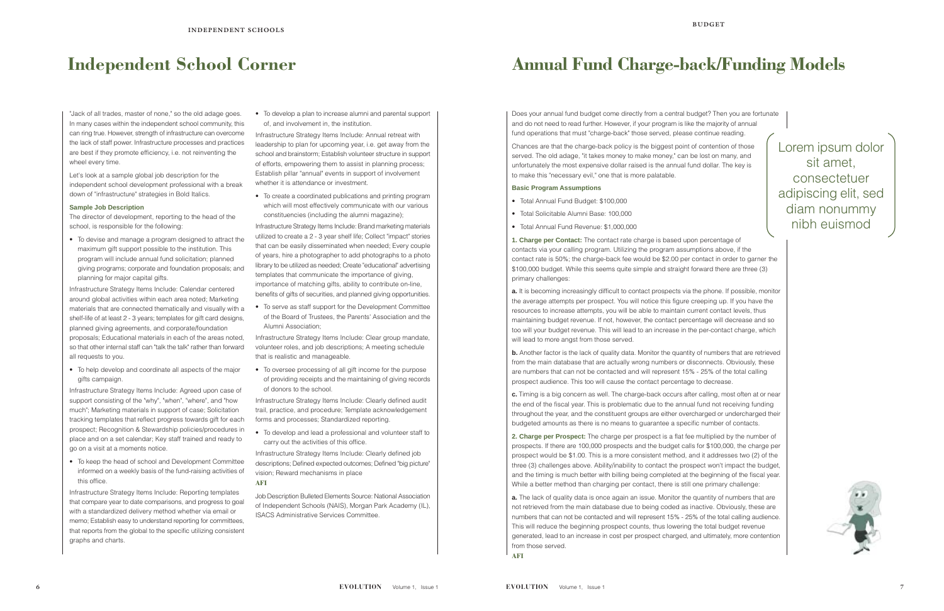Does your annual fund budget come directly from a central budget? Then you are fortunate and do not need to read further. However, if your program is like the majority of annual fund operations that must "charge-back" those served, please continue reading.

Chances are that the charge-back policy is the biggest point of contention of those served. The old adage, "it takes money to make money," can be lost on many, and unfortunately the most expensive dollar raised is the annual fund dollar. The key is to make this "necessary evil," one that is more palatable.

#### **Basic Program Assumptions**

- Total Annual Fund Budget: \$100,000
- Total Solicitable Alumni Base: 100,000
- Total Annual Fund Revenue: \$1,000,000

**a.** It is becoming increasingly difficult to contact prospects via the phone. If possible, monitor the average attempts per prospect. You will notice this figure creeping up. If you have the resources to increase attempts, you will be able to maintain current contact levels, thus maintaining budget revenue. If not, however, the contact percentage will decrease and so too will your budget revenue. This will lead to an increase in the per-contact charge, which will lead to more angst from those served.

**1. Charge per Contact:** The contact rate charge is based upon percentage of contacts via your calling program. Utilizing the program assumptions above, if the contact rate is 50%; the charge-back fee would be \$2.00 per contact in order to garner the \$100,000 budget. While this seems quite simple and straight forward there are three (3) primary challenges:

**b.** Another factor is the lack of quality data. Monitor the quantity of numbers that are retrieved from the main database that are actually wrong numbers or disconnects. Obviously, these are numbers that can not be contacted and will represent 15% - 25% of the total calling prospect audience. This too will cause the contact percentage to decrease.

**a.** The lack of quality data is once again an issue. Monitor the quantity of numbers that are not retrieved from the main database due to being coded as inactive. Obviously, these are numbers that can not be contacted and will represent 15% - 25% of the total calling audience. This will reduce the beginning prospect counts, thus lowering the total budget revenue generated, lead to an increase in cost per prospect charged, and ultimately, more contention from those served.

**c.** Timing is a big concern as well. The charge-back occurs after calling, most often at or near the end of the fiscal year. This is problematic due to the annual fund not receiving funding throughout the year, and the constituent groups are either overcharged or undercharged their budgeted amounts as there is no means to guarantee a specific number of contacts.

**2. Charge per Prospect:** The charge per prospect is a flat fee multiplied by the number of prospects. If there are 100,000 prospects and the budget calls for \$100,000, the charge per prospect would be \$1.00. This is a more consistent method, and it addresses two (2) of the three (3) challenges above. Ability/inability to contact the prospect won't impact the budget, and the timing is much better with billing being completed at the beginning of the fiscal year. While a better method than charging per contact, there is still one primary challenge:

**AFI**

# **Annual Fund Charge-back/Funding Models**

Lorem ipsum dolor sit amet, consectetuer adipiscing elit, sed diam nonummy nibh euismod



## **Independent School Corner**

"Jack of all trades, master of none," so the old adage goes. In many cases within the independent school community, this can ring true. However, strength of infrastructure can overcome the lack of staff power. Infrastructure processes and practices are best if they promote efficiency, i.e. not reinventing the wheel every time.

Let's look at a sample global job description for the independent school development professional with a break down of "infrastructure" strategies in Bold Italics.

#### **Sample Job Description**

The director of development, reporting to the head of the school, is responsible for the following:

• To devise and manage a program designed to attract the maximum gift support possible to the institution. This program will include annual fund solicitation; planned giving programs; corporate and foundation proposals; and planning for major capital gifts.

Infrastructure Strategy Items Include: Calendar centered around global activities within each area noted; Marketing materials that are connected thematically and visually with a shelf-life of at least 2 - 3 years; templates for gift card designs, planned giving agreements, and corporate/foundation proposals; Educational materials in each of the areas noted, so that other internal staff can "talk the talk" rather than forward all requests to you.

• To help develop and coordinate all aspects of the major gifts campaign.

Infrastructure Strategy Items Include: Agreed upon case of support consisting of the "why", "when", "where", and "how much"; Marketing materials in support of case; Solicitation tracking templates that reflect progress towards gift for each prospect; Recognition & Stewardship policies/procedures in place and on a set calendar; Key staff trained and ready to go on a visit at a moments notice.

• To keep the head of school and Development Committee informed on a weekly basis of the fund-raising activities of this office.

Infrastructure Strategy Items Include: Reporting templates that compare year to date comparisons, and progress to goal with a standardized delivery method whether via email or memo; Establish easy to understand reporting for committees, that reports from the global to the specific utilizing consistent graphs and charts.

• To develop a plan to increase alumni and parental support of, and involvement in, the institution.

Infrastructure Strategy Items Include: Annual retreat with leadership to plan for upcoming year, i.e. get away from the school and brainstorm; Establish volunteer structure in support of efforts, empowering them to assist in planning process; Establish pillar "annual" events in support of involvement whether it is attendance or investment.

• To create a coordinated publications and printing program which will most effectively communicate with our various constituencies (including the alumni magazine);

Infrastructure Strategy Items Include: Brand marketing materials utilized to create a 2 - 3 year shelf life; Collect "impact" stories that can be easily disseminated when needed; Every couple of years, hire a photographer to add photographs to a photo library to be utilized as needed; Create "educational" advertising templates that communicate the importance of giving, importance of matching gifts, ability to contribute on-line, benefits of gifts of securities, and planned giving opportunities.

• To serve as staff support for the Development Committee of the Board of Trustees, the Parents' Association and the Alumni Association;

Infrastructure Strategy Items Include: Clear group mandate, volunteer roles, and job descriptions; A meeting schedule that is realistic and manageable.

• To oversee processing of all gift income for the purpose of providing receipts and the maintaining of giving records of donors to the school.

Infrastructure Strategy Items Include: Clearly defined audit trail, practice, and procedure; Template acknowledgement forms and processes; Standardized reporting.

• To develop and lead a professional and volunteer staff to carry out the activities of this office.

Infrastructure Strategy Items Include: Clearly defined job descriptions; Defined expected outcomes; Defined "big picture" vision; Reward mechanisms in place

**AFI**

Job Description Bulleted Elements Source: National Association of Independent Schools (NAIS), Morgan Park Academy (IL), ISACS Administrative Services Committee.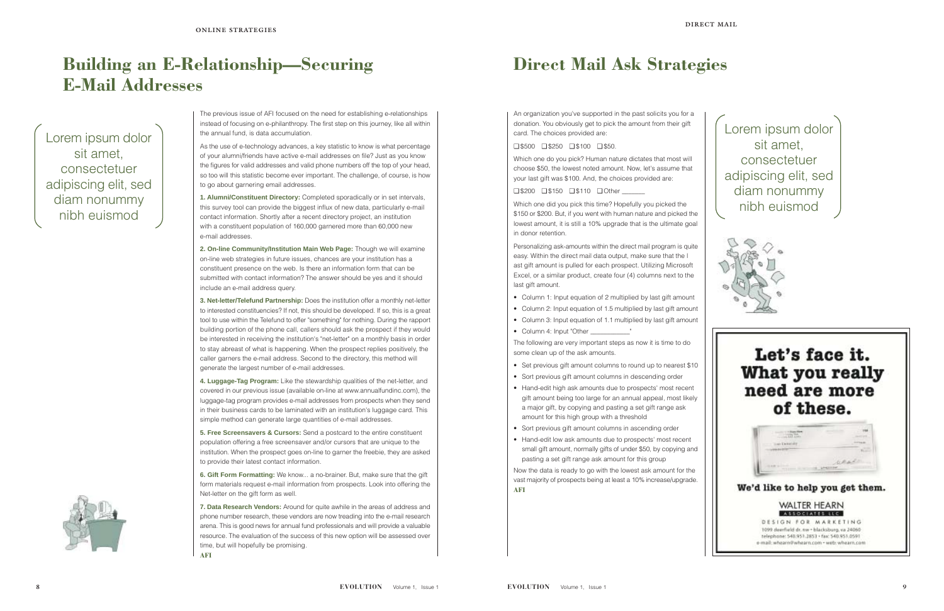

## **Direct Mail Ask Strategies**

An organization you've supported in the past solicits you for a donation. You obviously get to pick the amount from their gift card. The choices provided are:

#### ❑ \$500 ❑ \$250 ❑ \$100 ❑ \$50.

Which one do you pick? Human nature dictates that most will choose \$50, the lowest noted amount. Now, let's assume that your last gift was \$100. And, the choices provided are:

#### ❑ \$200 ❑ \$150 ❑ \$110 ❑ Other \_\_\_\_\_\_\_

Which one did you pick this time? Hopefully you picked the \$150 or \$200. But, if you went with human nature and picked the lowest amount, it is still a 10% upgrade that is the ultimate goal in donor retention.

Personalizing ask-amounts within the direct mail program is quite easy. Within the direct mail data output, make sure that the l ast gift amount is pulled for each prospect. Utilizing Microsoft Excel, or a similar product, create four (4) columns next to the last gift amount.

- Column 1: Input equation of 2 multiplied by last gift amount
- Column 2: Input equation of 1.5 multiplied by last gift amount
- Column 3: Input equation of 1.1 multiplied by last gift amount
- Column 4: Input "Other \_\_\_\_\_\_\_\_\_\_\_\_"

The following are very important steps as now it is time to do some clean up of the ask amounts.

- Set previous gift amount columns to round up to nearest \$10
- Sort previous gift amount columns in descending order
- Hand-edit high ask amounts due to prospects' most recent gift amount being too large for an annual appeal, most likely a major gift, by copying and pasting a set gift range ask amount for this high group with a threshold
- Sort previous gift amount columns in ascending order
- Hand-edit low ask amounts due to prospects' most recent small gift amount, normally gifts of under \$50, by copying and pasting a set gift range ask amount for this group

Now the data is ready to go with the lowest ask amount for the vast majority of prospects being at least a 10% increase/upgrade. **AFI**





The previous issue of AFI focused on the need for establishing e-relationships instead of focusing on e-philanthropy. The first step on this journey, like all within the annual fund, is data accumulation.

As the use of e-technology advances, a key statistic to know is what percentage of your alumni/friends have active e-mail addresses on file? Just as you know the figures for valid addresses and valid phone numbers off the top of your head, so too will this statistic become ever important. The challenge, of course, is how to go about garnering email addresses.

**1. Alumni/Constituent Directory:** Completed sporadically or in set intervals, this survey tool can provide the biggest influx of new data, particularly e-mail contact information. Shortly after a recent directory project, an institution with a constituent population of 160,000 garnered more than 60,000 new e-mail addresses.

**2. On-line Community/Institution Main Web Page:** Though we will examine on-line web strategies in future issues, chances are your institution has a constituent presence on the web. Is there an information form that can be submitted with contact information? The answer should be yes and it should include an e-mail address query.

**3. Net-letter/Telefund Partnership:** Does the institution offer a monthly net-letter to interested constituencies? If not, this should be developed. If so, this is a great tool to use within the Telefund to offer "something" for nothing. During the rapport building portion of the phone call, callers should ask the prospect if they would be interested in receiving the institution's "net-letter" on a monthly basis in order to stay abreast of what is happening. When the prospect replies positively, the caller garners the e-mail address. Second to the directory, this method will generate the largest number of e-mail addresses.

**4. Luggage-Tag Program:** Like the stewardship qualities of the net-letter, and covered in our previous issue (available on-line at www.annualfundinc.com), the luggage-tag program provides e-mail addresses from prospects when they send in their business cards to be laminated with an institution's luggage card. This simple method can generate large quantities of e-mail addresses.

**5. Free Screensavers & Cursors:** Send a postcard to the entire constituent population offering a free screensaver and/or cursors that are unique to the institution. When the prospect goes on-line to garner the freebie, they are asked to provide their latest contact information.

**6. Gift Form Formatting:** We know... a no-brainer. But, make sure that the gift form materials request e-mail information from prospects. Look into offering the Net-letter on the gift form as well.

**7. Data Research Vendors:** Around for quite awhile in the areas of address and phone number research, these vendors are now treading into the e-mail research arena. This is good news for annual fund professionals and will provide a valuable resource. The evaluation of the success of this new option will be assessed over time, but will hopefully be promising. **AFI**

# **Building an E-Relationship—Securing E-Mail Addresses**

Lorem ipsum dolor sit amet, consectetuer adipiscing elit, sed diam nonummy nibh euismod